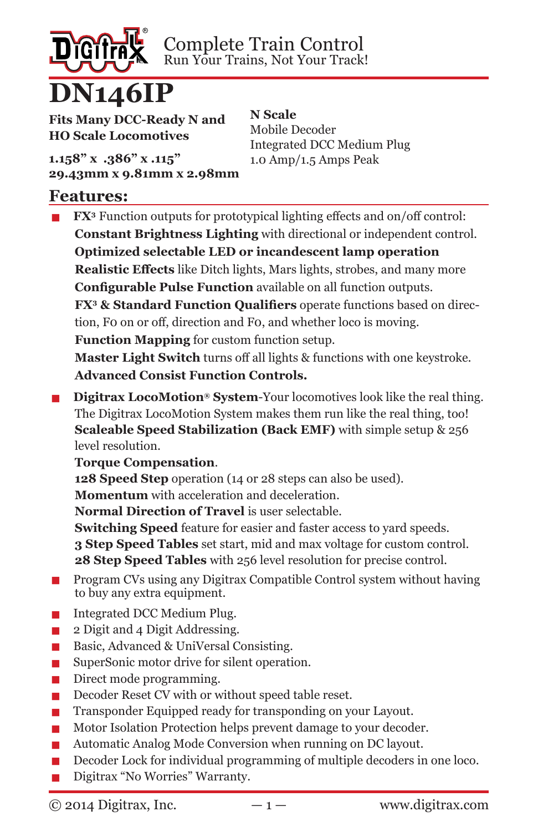

Complete Train Control Run Your Trains, Not Your Track!

> **N Scale** Mobile Decoder

Integrated DCC Medium Plug 1.0 Amp/1.5 Amps Peak

**Fits Many DCC-Ready N and HO Scale Locomotives**

**1.158" x .386" x .115" 29.43mm x 9.81mm x 2.98mm**

#### **Features:**

**■ FX**<sup>3</sup> Function outputs for prototypical lighting effects and on/off control: **Constant Brightness Lighting** with directional or independent control. **Optimized selectable LED or incandescent lamp operation Realistic Effects** like Ditch lights, Mars lights, strobes, and many more **Configurable Pulse Function** available on all function outputs. **FX3 & Standard Function Qualifiers** operate functions based on direction, F0 on or off, direction and F0, and whether loco is moving. **Function Mapping** for custom function setup. **Master Light Switch** turns off all lights & functions with one keystroke. **Advanced Consist Function Controls.**

**■ Digitrax LocoMotion® System-Your locomotives look like the real thing.** The Digitrax LocoMotion System makes them run like the real thing, too! **Scaleable Speed Stabilization (Back EMF)** with simple setup & 256 level resolution.

#### **Torque Compensation**.

**128 Speed Step** operation (14 or 28 steps can also be used).

**Momentum** with acceleration and deceleration.

**Normal Direction of Travel** is user selectable.

**Switching Speed** feature for easier and faster access to yard speeds. **3 Step Speed Tables** set start, mid and max voltage for custom control. **28 Step Speed Tables** with 256 level resolution for precise control.

- **■** Program CVs using any Digitrax Compatible Control system without having to buy any extra equipment.
- **■** Integrated DCC Medium Plug.<br>■ 2 Digit and 4 Digit Addressing.
- **▪** 2 Digit and 4 Digit Addressing.<br>▪️ Basic. Advanced & UniVersal C
- **■** Basic, Advanced & UniVersal Consisting.<br>■ SuperSonic motor drive for silent operati
- **EXECUTE:** SuperSonic motor drive for silent operation.<br> **EXECUTE:** Direct mode programming.
- **■** Direct mode programming.<br>■ Decoder Reset CV with or w
- **■** Decoder Reset CV with or without speed table reset.<br>■ Transponder Equipped ready for transponding on your
- **Transponder Equipped ready for transponding on your Layout.**<br>■ Motor Isolation Protection helps prevent damage to your decod
- **■** Motor Isolation Protection helps prevent damage to your decoder.<br>■ Automatic Analog Mode Conversion when running on DC layout.
- Automatic Analog Mode Conversion when running on DC layout.
- **▪** Decoder Lock for individual programming of multiple decoders in one loco.
- **▪** Digitrax "No Worries" Warranty.

 $\odot$  2014 Digitrax, Inc.  $-1 -$  www.digitrax.com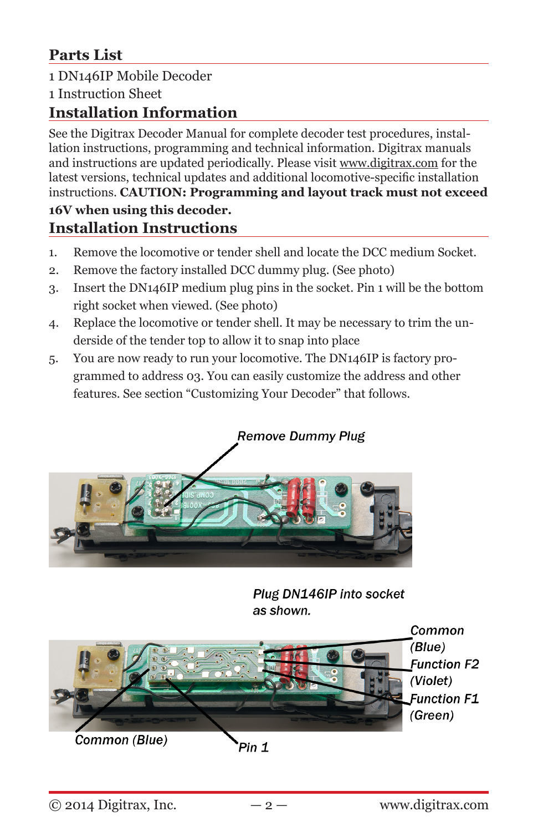## **Parts List**

## 1 DN146IP Mobile Decoder

1 Instruction Sheet

#### **Installation Information**

See the Digitrax Decoder Manual for complete decoder test procedures, installation instructions, programming and technical information. Digitrax manuals and instructions are updated periodically. Please visit www.digitrax.com for the latest versions, technical updates and additional locomotive-specific installation instructions. **CAUTION: Programming and layout track must not exceed 16V when using this decoder.**

# **Installation Instructions**

- 1. Remove the locomotive or tender shell and locate the DCC medium Socket.
- 2. Remove the factory installed DCC dummy plug. (See photo)
- 3. Insert the DN146IP medium plug pins in the socket. Pin 1 will be the bottom right socket when viewed. (See photo)
- 4. Replace the locomotive or tender shell. It may be necessary to trim the underside of the tender top to allow it to snap into place
- 5. You are now ready to run your locomotive. The DN146IP is factory programmed to address 03. You can easily customize the address and other features. See section "Customizing Your Decoder" that follows.



Plug DN146IP into socket as shown.



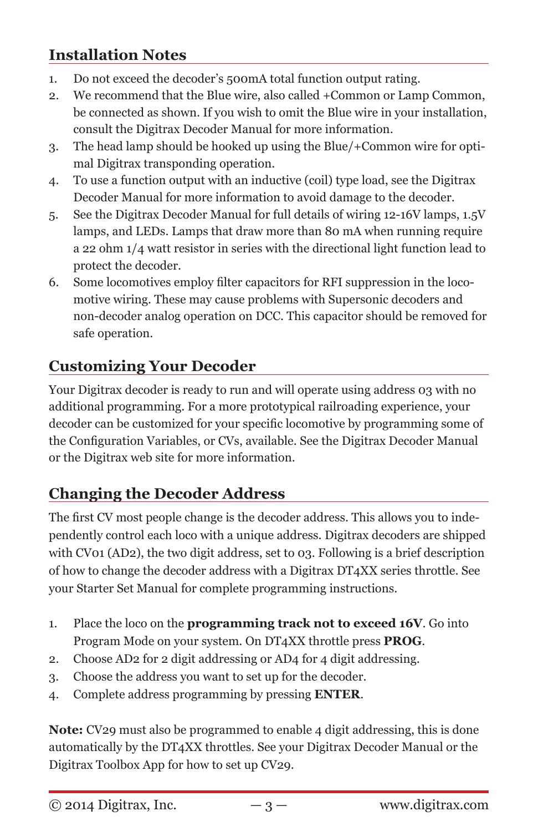## **Installation Notes**

- 1. Do not exceed the decoder's 500mA total function output rating.
- 2. We recommend that the Blue wire, also called +Common or Lamp Common, be connected as shown. If you wish to omit the Blue wire in your installation, consult the Digitrax Decoder Manual for more information.
- 3. The head lamp should be hooked up using the Blue/+Common wire for optimal Digitrax transponding operation.
- 4. To use a function output with an inductive (coil) type load, see the Digitrax Decoder Manual for more information to avoid damage to the decoder.
- 5. See the Digitrax Decoder Manual for full details of wiring 12-16V lamps, 1.5V lamps, and LEDs. Lamps that draw more than 80 mA when running require a 22 ohm 1/4 watt resistor in series with the directional light function lead to protect the decoder.
- 6. Some locomotives employ filter capacitors for RFI suppression in the locomotive wiring. These may cause problems with Supersonic decoders and non-decoder analog operation on DCC. This capacitor should be removed for safe operation.

## **Customizing Your Decoder**

Your Digitrax decoder is ready to run and will operate using address 03 with no additional programming. For a more prototypical railroading experience, your decoder can be customized for your specific locomotive by programming some of the Configuration Variables, or CVs, available. See the Digitrax Decoder Manual or the Digitrax web site for more information.

### **Changing the Decoder Address**

The first CV most people change is the decoder address. This allows you to independently control each loco with a unique address. Digitrax decoders are shipped with CV01 (AD2), the two digit address, set to 03. Following is a brief description of how to change the decoder address with a Digitrax DT4XX series throttle. See your Starter Set Manual for complete programming instructions.

- 1. Place the loco on the **programming track not to exceed 16V**. Go into Program Mode on your system. On DT4XX throttle press **PROG**.
- 2. Choose AD2 for 2 digit addressing or AD4 for 4 digit addressing.
- 3. Choose the address you want to set up for the decoder.
- 4. Complete address programming by pressing **ENTER**.

**Note:** CV29 must also be programmed to enable 4 digit addressing, this is done automatically by the DT4XX throttles. See your Digitrax Decoder Manual or the Digitrax Toolbox App for how to set up CV29.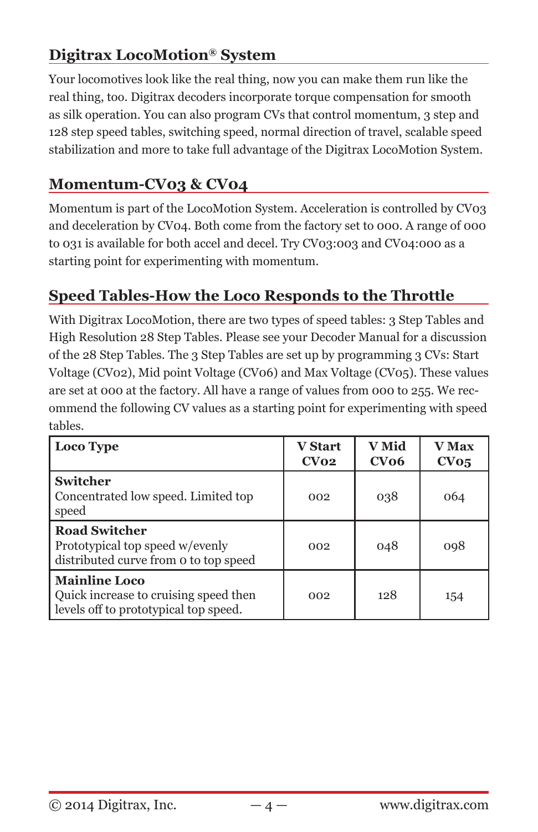## **Digitrax LocoMotion® System**

Your locomotives look like the real thing, now you can make them run like the real thing, too. Digitrax decoders incorporate torque compensation for smooth as silk operation. You can also program CVs that control momentum, 3 step and 128 step speed tables, switching speed, normal direction of travel, scalable speed stabilization and more to take full advantage of the Digitrax LocoMotion System.

## **Momentum-CV03 & CV04**

Momentum is part of the LocoMotion System. Acceleration is controlled by CV03 and deceleration by CV04. Both come from the factory set to 000. A range of 000 to 031 is available for both accel and decel. Try CV03:003 and CV04:000 as a starting point for experimenting with momentum.

## **Speed Tables-How the Loco Responds to the Throttle**

With Digitrax LocoMotion, there are two types of speed tables: 3 Step Tables and High Resolution 28 Step Tables. Please see your Decoder Manual for a discussion of the 28 Step Tables. The 3 Step Tables are set up by programming 3 CVs: Start Voltage (CV02), Mid point Voltage (CV06) and Max Voltage (CV05). These values are set at 000 at the factory. All have a range of values from 000 to 255. We recommend the following CV values as a starting point for experimenting with speed tables.

| Loco Type                                                                                              | <b>V</b> Start<br>CVO2 | V Mid<br>CVO6 | <b>V</b> Max<br>CVo5 |
|--------------------------------------------------------------------------------------------------------|------------------------|---------------|----------------------|
| <b>Switcher</b><br>Concentrated low speed. Limited top<br>speed                                        | 002                    | 038           | 064                  |
| <b>Road Switcher</b><br>Prototypical top speed w/evenly<br>distributed curve from o to top speed       | 002                    | 048           | 098                  |
| <b>Mainline Loco</b><br>Quick increase to cruising speed then<br>levels off to prototypical top speed. | 002                    | 128           | 154                  |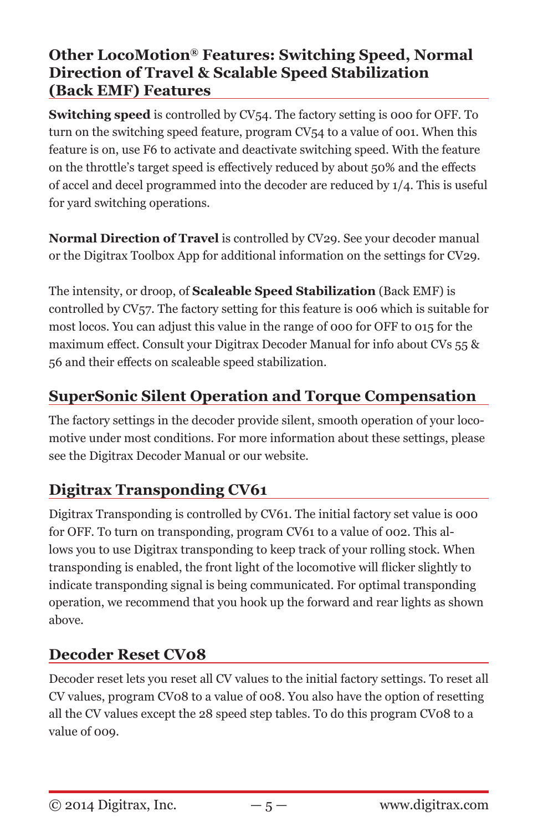### **Other LocoMotion® Features: Switching Speed, Normal Direction of Travel & Scalable Speed Stabilization (Back EMF) Features**

**Switching speed** is controlled by CV54. The factory setting is 000 for OFF. To turn on the switching speed feature, program CV54 to a value of 001. When this feature is on, use F6 to activate and deactivate switching speed. With the feature on the throttle's target speed is effectively reduced by about 50% and the effects of accel and decel programmed into the decoder are reduced by 1/4. This is useful for yard switching operations.

**Normal Direction of Travel** is controlled by CV29. See your decoder manual or the Digitrax Toolbox App for additional information on the settings for CV29.

The intensity, or droop, of **Scaleable Speed Stabilization** (Back EMF) is controlled by CV57. The factory setting for this feature is 006 which is suitable for most locos. You can adjust this value in the range of 000 for OFF to 015 for the maximum effect. Consult your Digitrax Decoder Manual for info about CVs 55 & 56 and their effects on scaleable speed stabilization.

## **SuperSonic Silent Operation and Torque Compensation**

The factory settings in the decoder provide silent, smooth operation of your locomotive under most conditions. For more information about these settings, please see the Digitrax Decoder Manual or our website.

### **Digitrax Transponding CV61**

Digitrax Transponding is controlled by CV61. The initial factory set value is 000 for OFF. To turn on transponding, program CV61 to a value of 002. This allows you to use Digitrax transponding to keep track of your rolling stock. When transponding is enabled, the front light of the locomotive will flicker slightly to indicate transponding signal is being communicated. For optimal transponding operation, we recommend that you hook up the forward and rear lights as shown above.

### **Decoder Reset CV08**

Decoder reset lets you reset all CV values to the initial factory settings. To reset all CV values, program CV08 to a value of 008. You also have the option of resetting all the CV values except the 28 speed step tables. To do this program CV08 to a value of 009.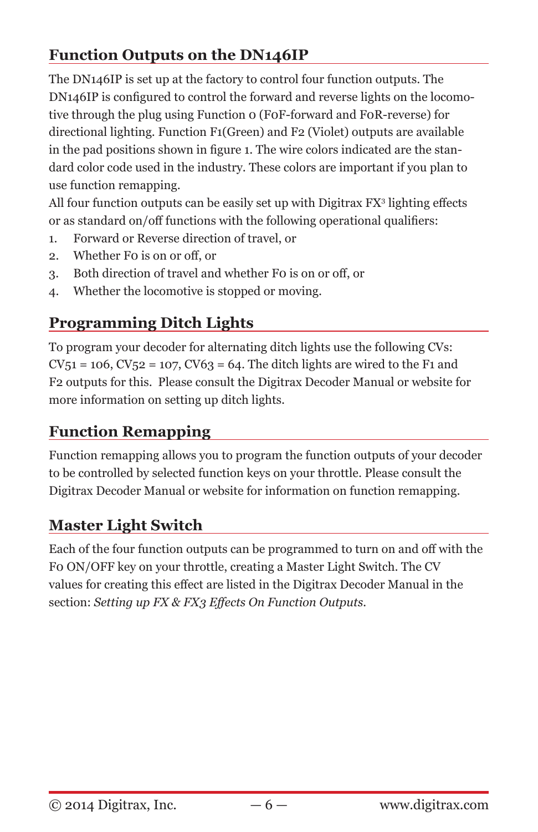# **Function Outputs on the DN146IP**

The DN146IP is set up at the factory to control four function outputs. The DN146IP is configured to control the forward and reverse lights on the locomotive through the plug using Function 0 (F0F-forward and F0R-reverse) for directional lighting. Function F1(Green) and F2 (Violet) outputs are available in the pad positions shown in figure 1. The wire colors indicated are the standard color code used in the industry. These colors are important if you plan to use function remapping.

All four function outputs can be easily set up with Digitrax FX<sup>3</sup> lighting effects or as standard on/off functions with the following operational qualifiers:

- 1. Forward or Reverse direction of travel, or
- 2. Whether F0 is on or off, or
- 3. Both direction of travel and whether F0 is on or off, or
- 4. Whether the locomotive is stopped or moving.

## **Programming Ditch Lights**

To program your decoder for alternating ditch lights use the following CVs:  $CV_51 = 106$ ,  $CV_52 = 107$ ,  $CV63 = 64$ . The ditch lights are wired to the F1 and F2 outputs for this. Please consult the Digitrax Decoder Manual or website for more information on setting up ditch lights.

## **Function Remapping**

Function remapping allows you to program the function outputs of your decoder to be controlled by selected function keys on your throttle. Please consult the Digitrax Decoder Manual or website for information on function remapping.

## **Master Light Switch**

Each of the four function outputs can be programmed to turn on and off with the F0 ON/OFF key on your throttle, creating a Master Light Switch. The CV values for creating this effect are listed in the Digitrax Decoder Manual in the section: *Setting up FX & FX3 Effects On Function Outputs.*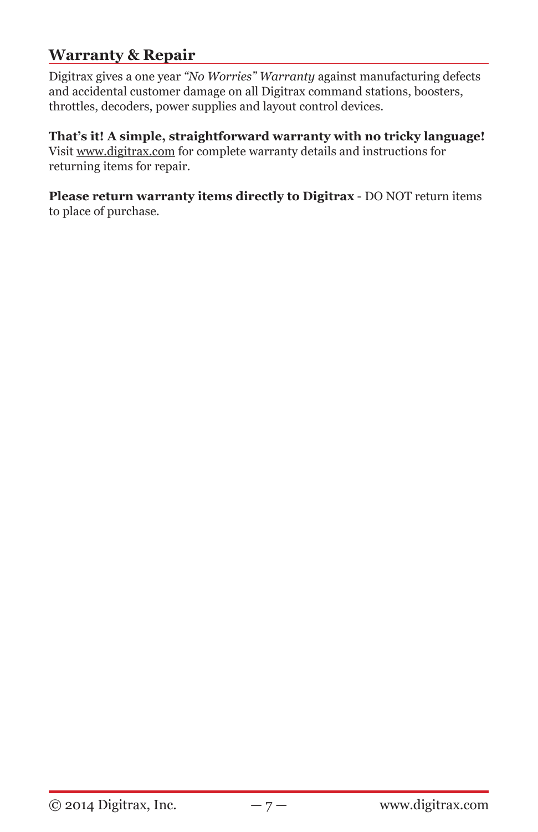### **Warranty & Repair**

Digitrax gives a one year *"No Worries" Warranty* against manufacturing defects and accidental customer damage on all Digitrax command stations, boosters, throttles, decoders, power supplies and layout control devices.

**That's it! A simple, straightforward warranty with no tricky language!** Visit www.digitrax.com for complete warranty details and instructions for returning items for repair.

**Please return warranty items directly to Digitrax** - DO NOT return items to place of purchase.